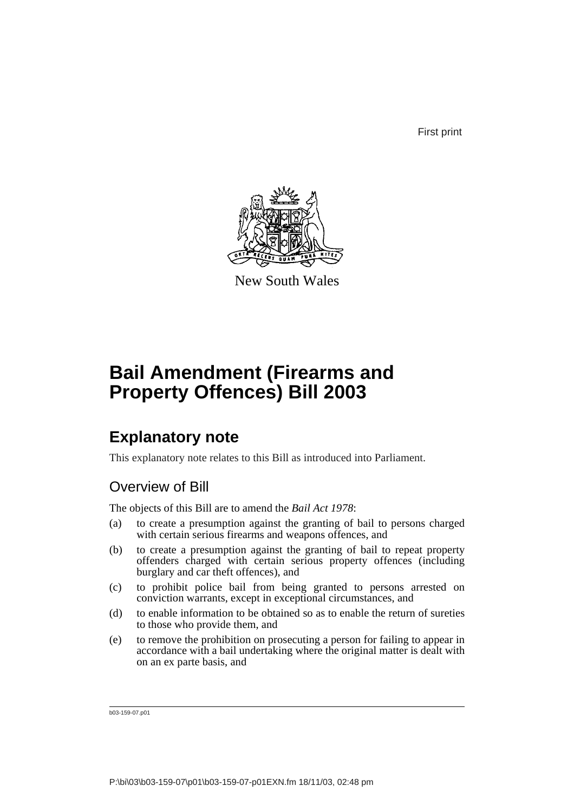First print



New South Wales

# **Bail Amendment (Firearms and Property Offences) Bill 2003**

## **Explanatory note**

This explanatory note relates to this Bill as introduced into Parliament.

## Overview of Bill

The objects of this Bill are to amend the *Bail Act 1978*:

- (a) to create a presumption against the granting of bail to persons charged with certain serious firearms and weapons offences, and
- (b) to create a presumption against the granting of bail to repeat property offenders charged with certain serious property offences (including burglary and car theft offences), and
- (c) to prohibit police bail from being granted to persons arrested on conviction warrants, except in exceptional circumstances, and
- (d) to enable information to be obtained so as to enable the return of sureties to those who provide them, and
- (e) to remove the prohibition on prosecuting a person for failing to appear in accordance with a bail undertaking where the original matter is dealt with on an ex parte basis, and

b03-159-07.p01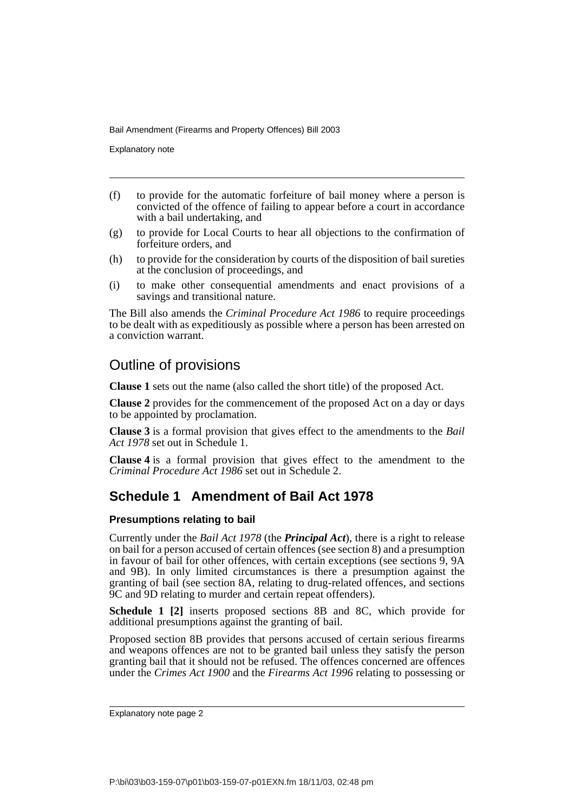Explanatory note

- (f) to provide for the automatic forfeiture of bail money where a person is convicted of the offence of failing to appear before a court in accordance with a bail undertaking, and
- (g) to provide for Local Courts to hear all objections to the confirmation of forfeiture orders, and
- (h) to provide for the consideration by courts of the disposition of bail sureties at the conclusion of proceedings, and
- (i) to make other consequential amendments and enact provisions of a savings and transitional nature.

The Bill also amends the *Criminal Procedure Act 1986* to require proceedings to be dealt with as expeditiously as possible where a person has been arrested on a conviction warrant.

## Outline of provisions

**Clause 1** sets out the name (also called the short title) of the proposed Act.

**Clause 2** provides for the commencement of the proposed Act on a day or days to be appointed by proclamation.

**Clause 3** is a formal provision that gives effect to the amendments to the *Bail Act 1978* set out in Schedule 1.

**Clause 4** is a formal provision that gives effect to the amendment to the *Criminal Procedure Act 1986* set out in Schedule 2.

## **Schedule 1 Amendment of Bail Act 1978**

#### **Presumptions relating to bail**

Currently under the *Bail Act 1978* (the *Principal Act*), there is a right to release on bail for a person accused of certain offences (see section 8) and a presumption in favour of bail for other offences, with certain exceptions (see sections  $\hat{9}$ ,  $9A$ and 9B). In only limited circumstances is there a presumption against the granting of bail (see section 8A, relating to drug-related offences, and sections 9C and 9D relating to murder and certain repeat offenders).

**Schedule 1 [2]** inserts proposed sections 8B and 8C, which provide for additional presumptions against the granting of bail.

Proposed section 8B provides that persons accused of certain serious firearms and weapons offences are not to be granted bail unless they satisfy the person granting bail that it should not be refused. The offences concerned are offences under the *Crimes Act 1900* and the *Firearms Act 1996* relating to possessing or

Explanatory note page 2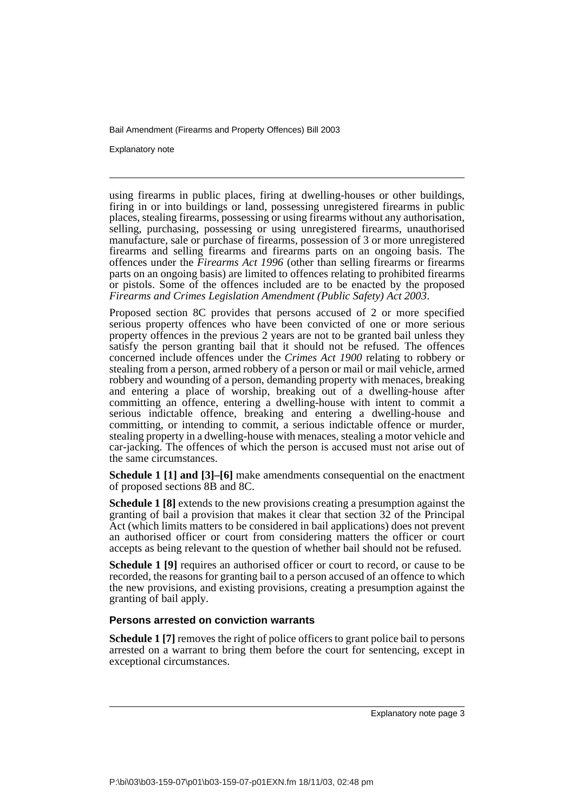Explanatory note

using firearms in public places, firing at dwelling-houses or other buildings, firing in or into buildings or land, possessing unregistered firearms in public places, stealing firearms, possessing or using firearms without any authorisation, selling, purchasing, possessing or using unregistered firearms, unauthorised manufacture, sale or purchase of firearms, possession of 3 or more unregistered firearms and selling firearms and firearms parts on an ongoing basis. The offences under the *Firearms Act 1996* (other than selling firearms or firearms parts on an ongoing basis) are limited to offences relating to prohibited firearms or pistols. Some of the offences included are to be enacted by the proposed *Firearms and Crimes Legislation Amendment (Public Safety) Act 2003*.

Proposed section 8C provides that persons accused of 2 or more specified serious property offences who have been convicted of one or more serious property offences in the previous 2 years are not to be granted bail unless they satisfy the person granting bail that it should not be refused. The offences concerned include offences under the *Crimes Act 1900* relating to robbery or stealing from a person, armed robbery of a person or mail or mail vehicle, armed robbery and wounding of a person, demanding property with menaces, breaking and entering a place of worship, breaking out of a dwelling-house after committing an offence, entering a dwelling-house with intent to commit a serious indictable offence, breaking and entering a dwelling-house and committing, or intending to commit, a serious indictable offence or murder, stealing property in a dwelling-house with menaces, stealing a motor vehicle and car-jacking. The offences of which the person is accused must not arise out of the same circumstances.

**Schedule 1 [1] and [3]–[6]** make amendments consequential on the enactment of proposed sections 8B and 8C.

**Schedule 1 [8]** extends to the new provisions creating a presumption against the granting of bail a provision that makes it clear that section 32 of the Principal Act (which limits matters to be considered in bail applications) does not prevent an authorised officer or court from considering matters the officer or court accepts as being relevant to the question of whether bail should not be refused.

**Schedule 1 [9]** requires an authorised officer or court to record, or cause to be recorded, the reasons for granting bail to a person accused of an offence to which the new provisions, and existing provisions, creating a presumption against the granting of bail apply.

#### **Persons arrested on conviction warrants**

**Schedule 1 [7]** removes the right of police officers to grant police bail to persons arrested on a warrant to bring them before the court for sentencing, except in exceptional circumstances.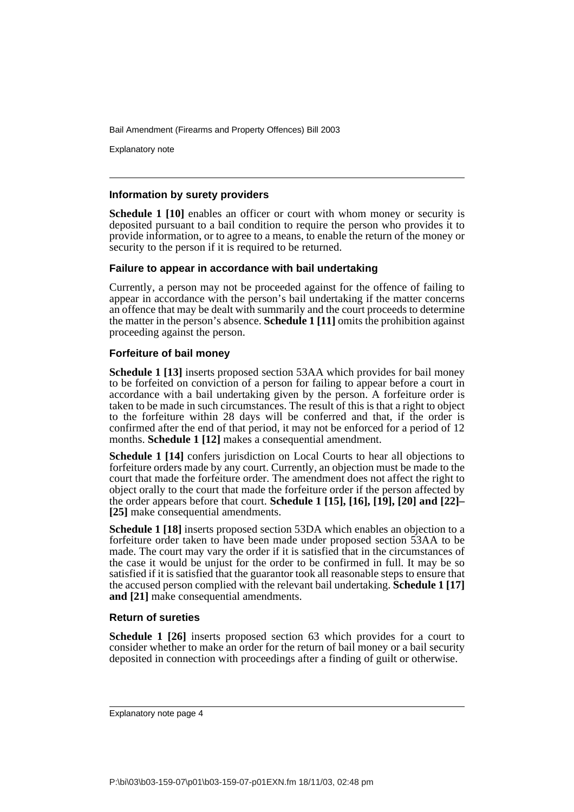Explanatory note

#### **Information by surety providers**

**Schedule 1 [10]** enables an officer or court with whom money or security is deposited pursuant to a bail condition to require the person who provides it to provide information, or to agree to a means, to enable the return of the money or security to the person if it is required to be returned.

#### **Failure to appear in accordance with bail undertaking**

Currently, a person may not be proceeded against for the offence of failing to appear in accordance with the person's bail undertaking if the matter concerns an offence that may be dealt with summarily and the court proceeds to determine the matter in the person's absence. **Schedule 1 [11]** omits the prohibition against proceeding against the person.

#### **Forfeiture of bail money**

**Schedule 1 [13]** inserts proposed section 53AA which provides for bail money to be forfeited on conviction of a person for failing to appear before a court in accordance with a bail undertaking given by the person. A forfeiture order is taken to be made in such circumstances. The result of this is that a right to object to the forfeiture within 28 days will be conferred and that, if the order is confirmed after the end of that period, it may not be enforced for a period of 12 months. **Schedule 1 [12]** makes a consequential amendment.

**Schedule 1 [14]** confers jurisdiction on Local Courts to hear all objections to forfeiture orders made by any court. Currently, an objection must be made to the court that made the forfeiture order. The amendment does not affect the right to object orally to the court that made the forfeiture order if the person affected by the order appears before that court. **Schedule 1 [15], [16], [19], [20] and [22]–** [25] make consequential amendments.

**Schedule 1 [18]** inserts proposed section 53DA which enables an objection to a forfeiture order taken to have been made under proposed section 53AA to be made. The court may vary the order if it is satisfied that in the circumstances of the case it would be unjust for the order to be confirmed in full. It may be so satisfied if it is satisfied that the guarantor took all reasonable steps to ensure that the accused person complied with the relevant bail undertaking. **Schedule 1 [17] and [21]** make consequential amendments.

#### **Return of sureties**

**Schedule 1 [26]** inserts proposed section 63 which provides for a court to consider whether to make an order for the return of bail money or a bail security deposited in connection with proceedings after a finding of guilt or otherwise.

Explanatory note page 4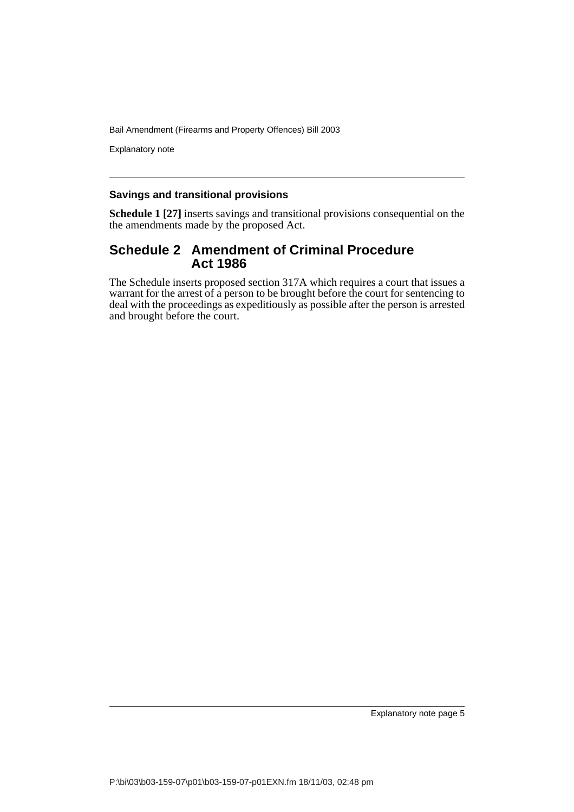Explanatory note

#### **Savings and transitional provisions**

**Schedule 1 [27]** inserts savings and transitional provisions consequential on the the amendments made by the proposed Act.

#### **Schedule 2 Amendment of Criminal Procedure Act 1986**

The Schedule inserts proposed section 317A which requires a court that issues a warrant for the arrest of a person to be brought before the court for sentencing to deal with the proceedings as expeditiously as possible after the person is arrested and brought before the court.

Explanatory note page 5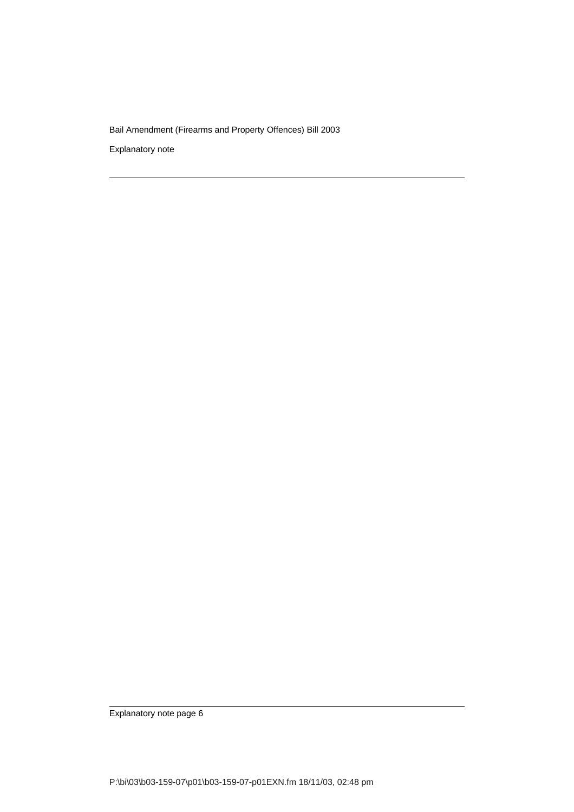Explanatory note

Explanatory note page 6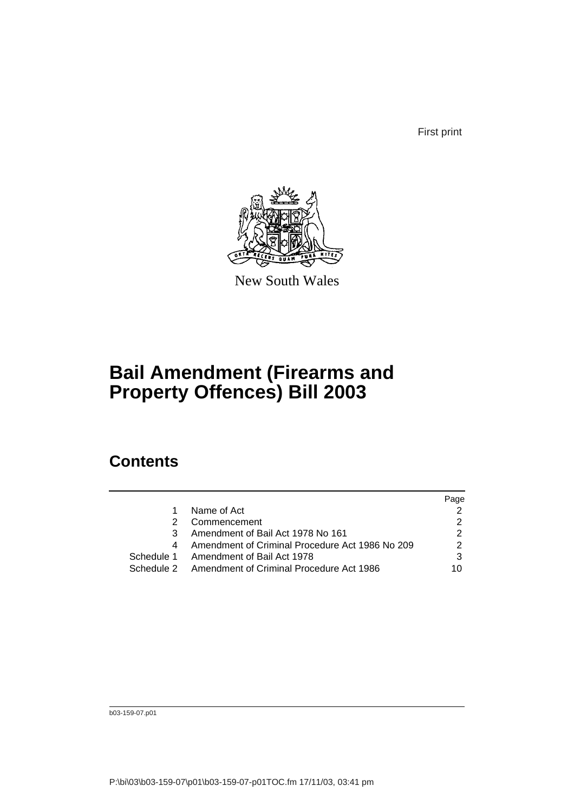First print



New South Wales

# **Bail Amendment (Firearms and Property Offences) Bill 2003**

## **Contents**

|                                                     | Page |
|-----------------------------------------------------|------|
| Name of Act                                         |      |
| Commencement                                        |      |
| Amendment of Bail Act 1978 No 161                   |      |
| Amendment of Criminal Procedure Act 1986 No 209     | 2    |
| Schedule 1 Amendment of Bail Act 1978               |      |
| Schedule 2 Amendment of Criminal Procedure Act 1986 | 10.  |

b03-159-07.p01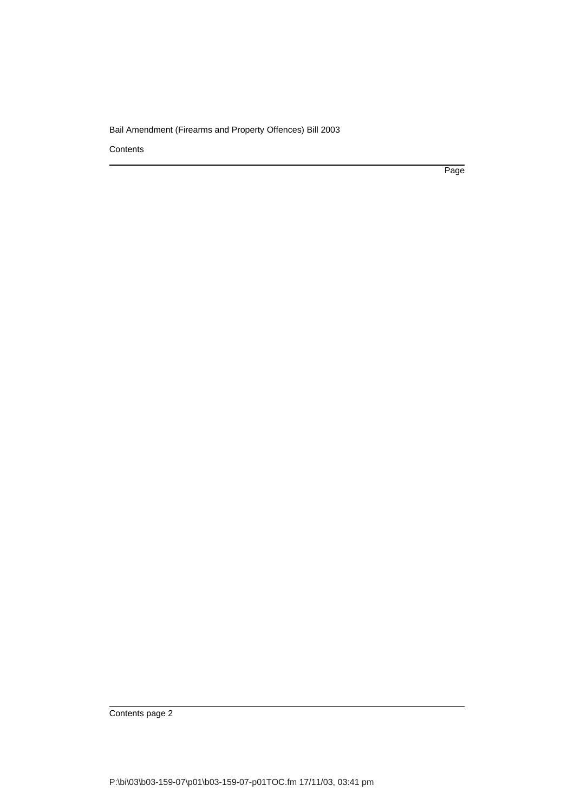**Contents** 

Page

Contents page 2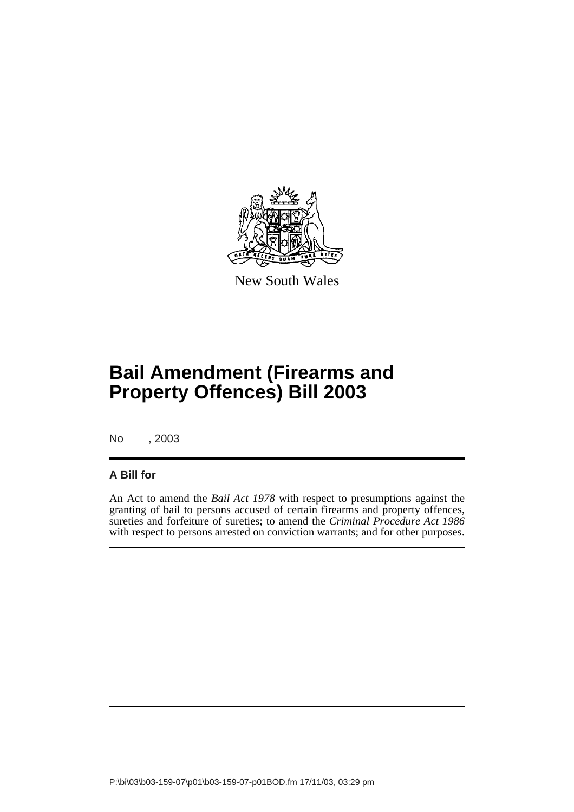

New South Wales

# **Bail Amendment (Firearms and Property Offences) Bill 2003**

No , 2003

#### **A Bill for**

An Act to amend the *Bail Act 1978* with respect to presumptions against the granting of bail to persons accused of certain firearms and property offences, sureties and forfeiture of sureties; to amend the *Criminal Procedure Act 1986* with respect to persons arrested on conviction warrants; and for other purposes.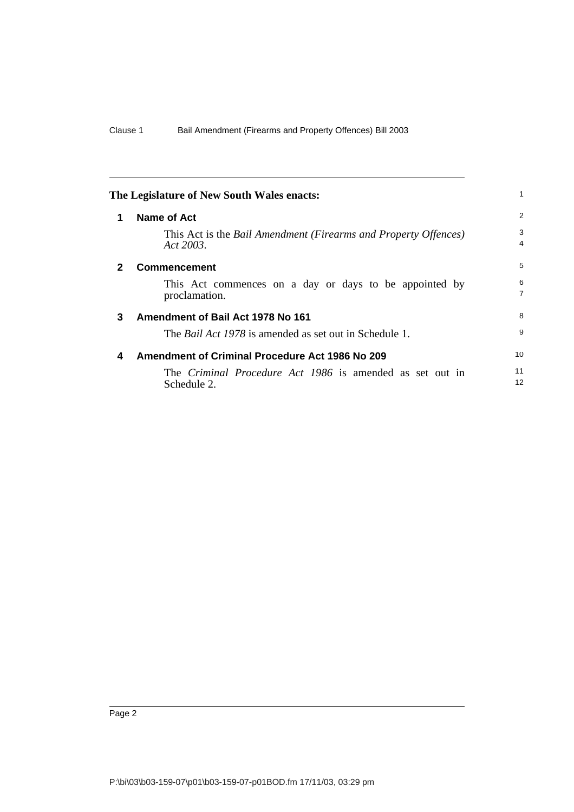<span id="page-9-3"></span><span id="page-9-2"></span><span id="page-9-1"></span><span id="page-9-0"></span>

|   | The Legislature of New South Wales enacts:                                      |                     |
|---|---------------------------------------------------------------------------------|---------------------|
| 1 | Name of Act                                                                     | 2                   |
|   | This Act is the Bail Amendment (Firearms and Property Offences)<br>Act $2003$ . | 3<br>4              |
| 2 | <b>Commencement</b>                                                             | 5                   |
|   | This Act commences on a day or days to be appointed by<br>proclamation.         | 6<br>$\overline{7}$ |
| 3 | Amendment of Bail Act 1978 No 161                                               | 8                   |
|   | The <i>Bail Act 1978</i> is amended as set out in Schedule 1.                   | 9                   |
| 4 | Amendment of Criminal Procedure Act 1986 No 209                                 | 10 <sup>1</sup>     |
|   | The <i>Criminal Procedure Act 1986</i> is amended as set out in<br>Schedule 2.  | 11<br>12            |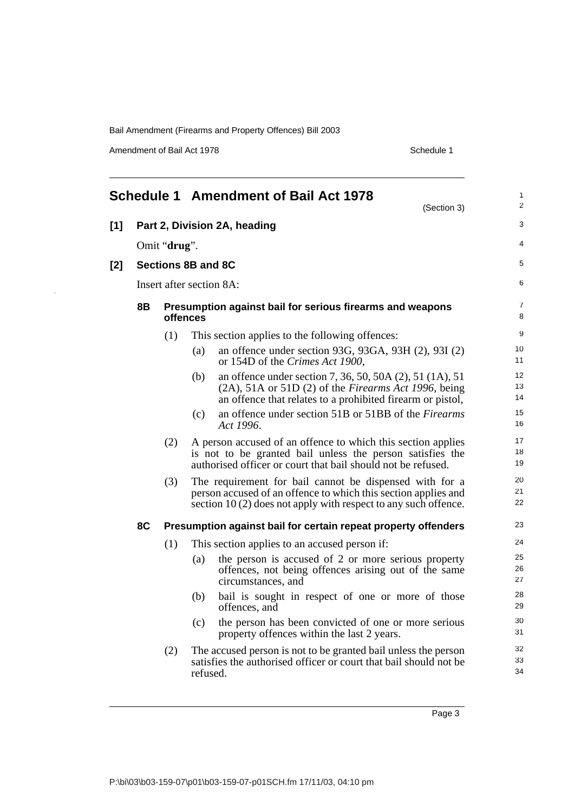Amendment of Bail Act 1978 Schedule 1

<span id="page-10-0"></span>

|     |    |                    |          | Schedule 1 Amendment of Bail Act 1978<br>(Section 3)                                                                                                                                         | $\mathbf{1}$<br>2   |
|-----|----|--------------------|----------|----------------------------------------------------------------------------------------------------------------------------------------------------------------------------------------------|---------------------|
| [1] |    |                    |          | Part 2, Division 2A, heading                                                                                                                                                                 | 3                   |
|     |    | Omit "drug".       |          |                                                                                                                                                                                              | $\overline{4}$      |
| [2] |    | Sections 8B and 8C |          |                                                                                                                                                                                              | 5                   |
|     |    |                    |          | Insert after section 8A:                                                                                                                                                                     | 6                   |
|     | 8Β |                    | offences | Presumption against bail for serious firearms and weapons                                                                                                                                    | $\overline{7}$<br>8 |
|     |    | (1)                |          | This section applies to the following offences:                                                                                                                                              | 9                   |
|     |    |                    | (a)      | an offence under section 93G, 93GA, 93H (2), 93I (2)<br>or 154D of the Crimes Act 1900,                                                                                                      | 10<br>11            |
|     |    |                    | (b)      | an offence under section 7, 36, 50, 50A (2), 51 (1A), 51<br>(2A), 51A or 51D (2) of the Firearms Act 1996, being<br>an offence that relates to a prohibited firearm or pistol,               | 12<br>13<br>14      |
|     |    |                    | (c)      | an offence under section 51B or 51BB of the Firearms<br>Act 1996.                                                                                                                            | 15<br>16            |
|     |    | (2)                |          | A person accused of an offence to which this section applies<br>is not to be granted bail unless the person satisfies the<br>authorised officer or court that bail should not be refused.    | 17<br>18<br>19      |
|     |    | (3)                |          | The requirement for bail cannot be dispensed with for a<br>person accused of an offence to which this section applies and<br>section 10 (2) does not apply with respect to any such offence. | 20<br>21<br>22      |
|     | 8C |                    |          | Presumption against bail for certain repeat property offenders                                                                                                                               | 23                  |
|     |    | (1)                |          | This section applies to an accused person if:                                                                                                                                                | 24                  |
|     |    |                    | (a)      | the person is accused of 2 or more serious property<br>offences, not being offences arising out of the same<br>circumstances, and                                                            | 25<br>26<br>27      |
|     |    |                    | (b)      | bail is sought in respect of one or more of those<br>offences, and                                                                                                                           | 28<br>29            |
|     |    |                    | (c)      | the person has been convicted of one or more serious<br>property offences within the last 2 years.                                                                                           | 30<br>31            |
|     |    | (2)                | refused. | The accused person is not to be granted bail unless the person<br>satisfies the authorised officer or court that bail should not be                                                          | 32<br>33<br>34      |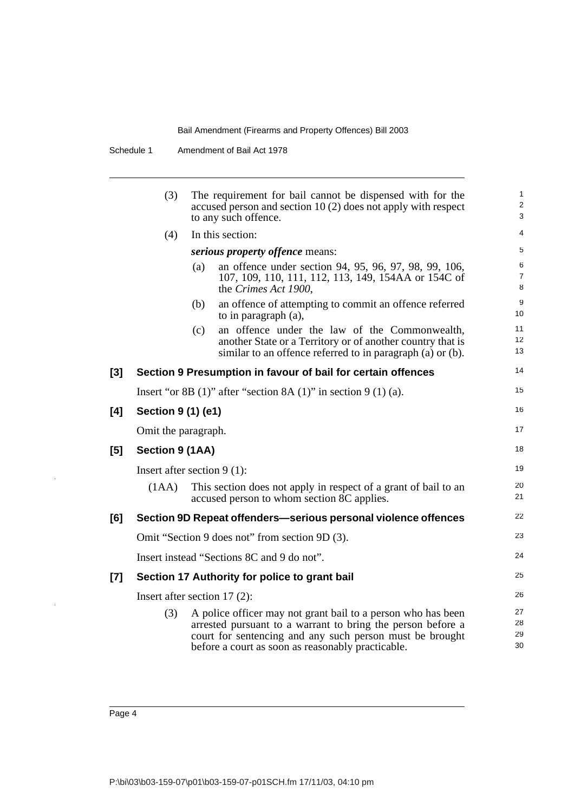|       | (3)                 | The requirement for bail cannot be dispensed with for the<br>accused person and section $10(2)$ does not apply with respect<br>to any such offence.                                                                                          | 1<br>$\overline{2}$<br>3 |
|-------|---------------------|----------------------------------------------------------------------------------------------------------------------------------------------------------------------------------------------------------------------------------------------|--------------------------|
|       | (4)                 | In this section:                                                                                                                                                                                                                             | 4                        |
|       |                     | serious property offence means:                                                                                                                                                                                                              | 5                        |
|       |                     | an offence under section 94, 95, 96, 97, 98, 99, 106,<br>(a)<br>107, 109, 110, 111, 112, 113, 149, 154AA or 154C of<br>the Crimes Act 1900,                                                                                                  | 6<br>$\overline{7}$<br>8 |
|       |                     | an offence of attempting to commit an offence referred<br>(b)<br>to in paragraph (a),                                                                                                                                                        | 9<br>10                  |
|       |                     | an offence under the law of the Commonwealth,<br>(c)<br>another State or a Territory or of another country that is<br>similar to an offence referred to in paragraph (a) or (b).                                                             | 11<br>12<br>13           |
| [3]   |                     | Section 9 Presumption in favour of bail for certain offences                                                                                                                                                                                 | 14                       |
|       |                     | Insert "or 8B $(1)$ " after "section 8A $(1)$ " in section 9 $(1)$ $(a)$ .                                                                                                                                                                   | 15                       |
| [4]   | Section 9 (1) (e1)  |                                                                                                                                                                                                                                              | 16                       |
|       | Omit the paragraph. |                                                                                                                                                                                                                                              | 17                       |
| [5]   | Section 9 (1AA)     |                                                                                                                                                                                                                                              | 18                       |
|       |                     | Insert after section $9(1)$ :                                                                                                                                                                                                                | 19                       |
|       | (1AA)               | This section does not apply in respect of a grant of bail to an<br>accused person to whom section 8C applies.                                                                                                                                | 20<br>21                 |
| [6]   |                     | Section 9D Repeat offenders-serious personal violence offences                                                                                                                                                                               | 22                       |
|       |                     | Omit "Section 9 does not" from section 9D (3).                                                                                                                                                                                               | 23                       |
|       |                     | Insert instead "Sections 8C and 9 do not".                                                                                                                                                                                                   | 24                       |
| $[7]$ |                     | Section 17 Authority for police to grant bail                                                                                                                                                                                                | 25                       |
|       |                     | Insert after section $17(2)$ :                                                                                                                                                                                                               | 26                       |
|       | (3)                 | A police officer may not grant bail to a person who has been<br>arrested pursuant to a warrant to bring the person before a<br>court for sentencing and any such person must be brought<br>before a court as soon as reasonably practicable. | 27<br>28<br>29<br>30     |

Page 4

 $\ddot{\phantom{a}}$ 

 $\ddot{\phantom{a}}$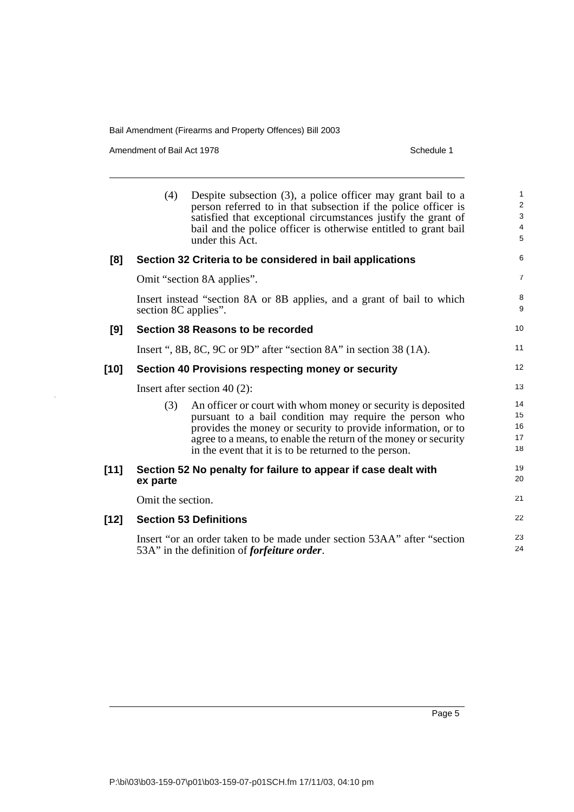Amendment of Bail Act 1978 Schedule 1

|      | (4)                  | Despite subsection (3), a police officer may grant bail to a<br>person referred to in that subsection if the police officer is<br>satisfied that exceptional circumstances justify the grant of<br>bail and the police officer is otherwise entitled to grant bail<br>under this Act.                               | $\mathbf{1}$<br>2<br>$\mathbf{3}$<br>$\overline{4}$<br>5 |
|------|----------------------|---------------------------------------------------------------------------------------------------------------------------------------------------------------------------------------------------------------------------------------------------------------------------------------------------------------------|----------------------------------------------------------|
| [8]  |                      | Section 32 Criteria to be considered in bail applications                                                                                                                                                                                                                                                           | 6                                                        |
|      |                      | Omit "section 8A applies".                                                                                                                                                                                                                                                                                          | $\overline{7}$                                           |
|      | section 8C applies". | Insert instead "section 8A or 8B applies, and a grant of bail to which                                                                                                                                                                                                                                              | 8<br>9                                                   |
| [9]  |                      | Section 38 Reasons to be recorded                                                                                                                                                                                                                                                                                   | 10                                                       |
|      |                      | Insert ", 8B, 8C, 9C or 9D" after "section 8A" in section 38 (1A).                                                                                                                                                                                                                                                  | 11                                                       |
| [10] |                      | Section 40 Provisions respecting money or security                                                                                                                                                                                                                                                                  | 12                                                       |
|      |                      | Insert after section 40 $(2)$ :                                                                                                                                                                                                                                                                                     | 13                                                       |
|      | (3)                  | An officer or court with whom money or security is deposited<br>pursuant to a bail condition may require the person who<br>provides the money or security to provide information, or to<br>agree to a means, to enable the return of the money or security<br>in the event that it is to be returned to the person. | 14<br>15<br>16<br>17<br>18                               |
| [11] | ex parte             | Section 52 No penalty for failure to appear if case dealt with                                                                                                                                                                                                                                                      | 19<br>20                                                 |
|      | Omit the section.    |                                                                                                                                                                                                                                                                                                                     | 21                                                       |
| [12] |                      | <b>Section 53 Definitions</b>                                                                                                                                                                                                                                                                                       | 22                                                       |
|      |                      | Insert "or an order taken to be made under section 53AA" after "section<br>53A" in the definition of <i>forfeiture order</i> .                                                                                                                                                                                      | 23<br>24                                                 |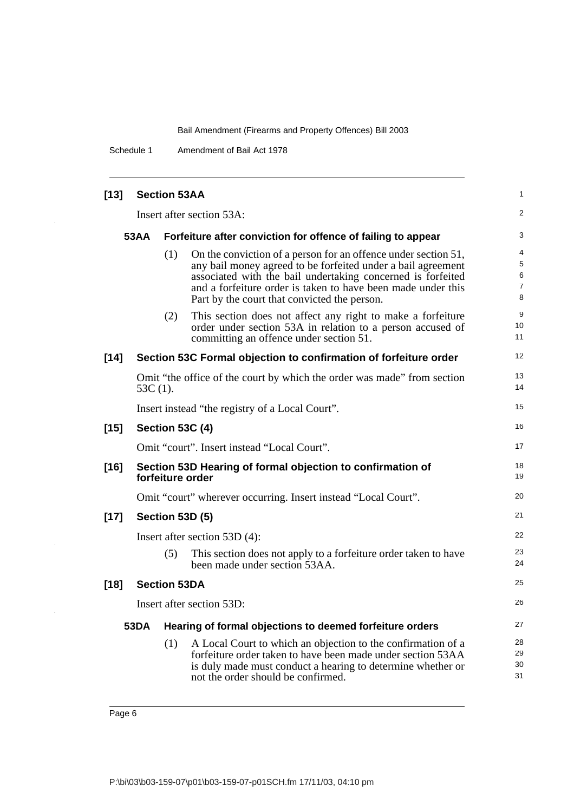Schedule 1 Amendment of Bail Act 1978

| $[13]$ |                                                                                | <b>Section 53AA</b> |                                                                                                                                                                                                                                                                                                               | 1                     |
|--------|--------------------------------------------------------------------------------|---------------------|---------------------------------------------------------------------------------------------------------------------------------------------------------------------------------------------------------------------------------------------------------------------------------------------------------------|-----------------------|
|        |                                                                                |                     | Insert after section 53A:                                                                                                                                                                                                                                                                                     | 2                     |
|        | 53AA                                                                           |                     | Forfeiture after conviction for offence of failing to appear                                                                                                                                                                                                                                                  | 3                     |
|        |                                                                                | (1)                 | On the conviction of a person for an offence under section 51,<br>any bail money agreed to be forfeited under a bail agreement<br>associated with the bail undertaking concerned is forfeited<br>and a forfeiture order is taken to have been made under this<br>Part by the court that convicted the person. | 4<br>5<br>6<br>7<br>8 |
|        |                                                                                | (2)                 | This section does not affect any right to make a forfeiture<br>order under section 53A in relation to a person accused of<br>committing an offence under section 51.                                                                                                                                          | 9<br>10<br>11         |
| $[14]$ |                                                                                |                     | Section 53C Formal objection to confirmation of forfeiture order                                                                                                                                                                                                                                              | 12                    |
|        | $53C(1)$ .                                                                     |                     | Omit "the office of the court by which the order was made" from section                                                                                                                                                                                                                                       | 13<br>14              |
|        |                                                                                |                     | Insert instead "the registry of a Local Court".                                                                                                                                                                                                                                                               | 15                    |
| $[15]$ |                                                                                |                     | <b>Section 53C (4)</b>                                                                                                                                                                                                                                                                                        | 16                    |
|        |                                                                                |                     | Omit "court". Insert instead "Local Court".                                                                                                                                                                                                                                                                   | 17                    |
| $[16]$ | Section 53D Hearing of formal objection to confirmation of<br>forfeiture order |                     |                                                                                                                                                                                                                                                                                                               | 18<br>19              |
|        |                                                                                |                     | Omit "court" wherever occurring. Insert instead "Local Court".                                                                                                                                                                                                                                                | 20                    |
| $[17]$ |                                                                                |                     | Section 53D (5)                                                                                                                                                                                                                                                                                               | 21                    |
|        |                                                                                |                     | Insert after section $53D(4)$ :                                                                                                                                                                                                                                                                               | 22                    |
|        |                                                                                | (5)                 | This section does not apply to a forfeiture order taken to have<br>been made under section 53AA.                                                                                                                                                                                                              | 23<br>24              |
| $[18]$ |                                                                                | <b>Section 53DA</b> |                                                                                                                                                                                                                                                                                                               | 25                    |
|        |                                                                                |                     | Insert after section 53D:                                                                                                                                                                                                                                                                                     | 26                    |
|        | 53DA                                                                           |                     | Hearing of formal objections to deemed forfeiture orders                                                                                                                                                                                                                                                      | 27                    |
|        |                                                                                | (1)                 | A Local Court to which an objection to the confirmation of a<br>forfeiture order taken to have been made under section 53AA<br>is duly made must conduct a hearing to determine whether or<br>not the order should be confirmed.                                                                              | 28<br>29<br>30<br>31  |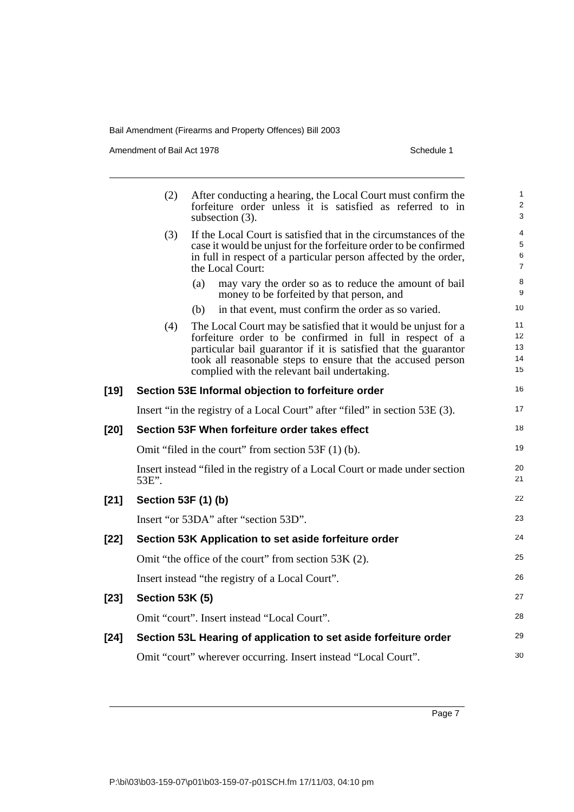Amendment of Bail Act 1978 Schedule 1

|        | (2)                    | After conducting a hearing, the Local Court must confirm the<br>forfeiture order unless it is satisfied as referred to in<br>subsection $(3)$ .                                                                                                                                                              | $\mathbf{1}$<br>$\overline{2}$<br>3     |
|--------|------------------------|--------------------------------------------------------------------------------------------------------------------------------------------------------------------------------------------------------------------------------------------------------------------------------------------------------------|-----------------------------------------|
|        | (3)                    | If the Local Court is satisfied that in the circumstances of the<br>case it would be unjust for the forfeiture order to be confirmed<br>in full in respect of a particular person affected by the order,<br>the Local Court:                                                                                 | 4<br>5<br>6<br>$\overline{7}$           |
|        |                        | (a)<br>may vary the order so as to reduce the amount of bail<br>money to be forfeited by that person, and                                                                                                                                                                                                    | 8<br>9                                  |
|        |                        | in that event, must confirm the order as so varied.<br>(b)                                                                                                                                                                                                                                                   | 10                                      |
|        | (4)                    | The Local Court may be satisfied that it would be unjust for a<br>forfeiture order to be confirmed in full in respect of a<br>particular bail guarantor if it is satisfied that the guarantor<br>took all reasonable steps to ensure that the accused person<br>complied with the relevant bail undertaking. | 11<br>12 <sup>2</sup><br>13<br>14<br>15 |
| $[19]$ |                        | Section 53E Informal objection to forfeiture order                                                                                                                                                                                                                                                           | 16                                      |
|        |                        | Insert "in the registry of a Local Court" after "filed" in section 53E (3).                                                                                                                                                                                                                                  | 17                                      |
| $[20]$ |                        | Section 53F When forfeiture order takes effect                                                                                                                                                                                                                                                               | 18                                      |
|        |                        | Omit "filed in the court" from section 53F (1) (b).                                                                                                                                                                                                                                                          | 19                                      |
|        | 53E".                  | Insert instead "filed in the registry of a Local Court or made under section                                                                                                                                                                                                                                 | 20<br>21                                |
| $[21]$ | Section 53F (1) (b)    |                                                                                                                                                                                                                                                                                                              | 22                                      |
|        |                        | Insert "or 53DA" after "section 53D".                                                                                                                                                                                                                                                                        | 23                                      |
| $[22]$ |                        | Section 53K Application to set aside forfeiture order                                                                                                                                                                                                                                                        | 24                                      |
|        |                        | Omit "the office of the court" from section 53K (2).                                                                                                                                                                                                                                                         | 25                                      |
|        |                        | Insert instead "the registry of a Local Court".                                                                                                                                                                                                                                                              | 26                                      |
| $[23]$ | <b>Section 53K (5)</b> |                                                                                                                                                                                                                                                                                                              | 27                                      |
|        |                        | Omit "court". Insert instead "Local Court".                                                                                                                                                                                                                                                                  | 28                                      |
| $[24]$ |                        | Section 53L Hearing of application to set aside forfeiture order                                                                                                                                                                                                                                             | 29                                      |
|        |                        | Omit "court" wherever occurring. Insert instead "Local Court".                                                                                                                                                                                                                                               | 30                                      |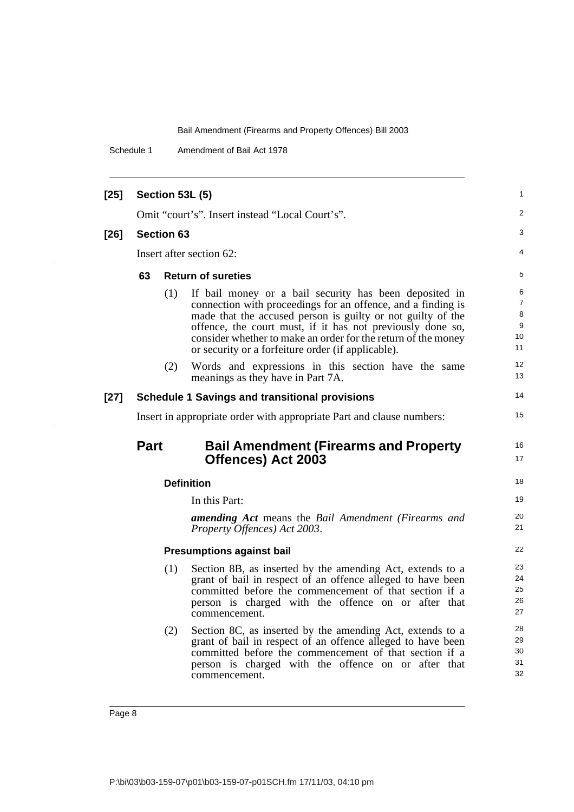Schedule 1 Amendment of Bail Act 1978

| $[25]$ | Section 53L (5)   |                                                                                                                                                                                                                                                                                                                                                                            | 1                            |
|--------|-------------------|----------------------------------------------------------------------------------------------------------------------------------------------------------------------------------------------------------------------------------------------------------------------------------------------------------------------------------------------------------------------------|------------------------------|
|        |                   | Omit "court's". Insert instead "Local Court's".                                                                                                                                                                                                                                                                                                                            | 2                            |
| $[26]$ | <b>Section 63</b> |                                                                                                                                                                                                                                                                                                                                                                            | 3                            |
|        |                   | Insert after section 62:                                                                                                                                                                                                                                                                                                                                                   | 4                            |
|        | 63                | <b>Return of sureties</b>                                                                                                                                                                                                                                                                                                                                                  | 5                            |
|        | (1)               | If bail money or a bail security has been deposited in<br>connection with proceedings for an offence, and a finding is<br>made that the accused person is guilty or not guilty of the<br>offence, the court must, if it has not previously done so,<br>consider whether to make an order for the return of the money<br>or security or a forfeiture order (if applicable). | 6<br>7<br>8<br>9<br>10<br>11 |
|        | (2)               | Words and expressions in this section have the same<br>meanings as they have in Part 7A.                                                                                                                                                                                                                                                                                   | 12<br>13                     |
| $[27]$ |                   | <b>Schedule 1 Savings and transitional provisions</b>                                                                                                                                                                                                                                                                                                                      | 14                           |
|        |                   | Insert in appropriate order with appropriate Part and clause numbers:                                                                                                                                                                                                                                                                                                      | 15                           |
|        | <b>Part</b>       | <b>Bail Amendment (Firearms and Property</b><br>Offences) Act 2003                                                                                                                                                                                                                                                                                                         | 16<br>17                     |
|        |                   | <b>Definition</b>                                                                                                                                                                                                                                                                                                                                                          | 18                           |
|        |                   | In this Part:                                                                                                                                                                                                                                                                                                                                                              | 19                           |
|        |                   | amending Act means the Bail Amendment (Firearms and<br>Property Offences) Act 2003.                                                                                                                                                                                                                                                                                        | 20<br>21                     |
|        |                   | <b>Presumptions against bail</b>                                                                                                                                                                                                                                                                                                                                           | 22                           |
|        | (1)               | Section 8B, as inserted by the amending Act, extends to a<br>grant of bail in respect of an offence alleged to have been<br>committed before the commencement of that section if a<br>person is charged with the offence on or after that<br>commencement.                                                                                                                 | 23<br>24<br>25<br>26<br>27   |
|        | (2)               | Section 8C, as inserted by the amending Act, extends to a<br>grant of bail in respect of an offence alleged to have been<br>committed before the commencement of that section if a<br>person is charged with the offence on or after that                                                                                                                                  | 28<br>29<br>30<br>31<br>32   |

l,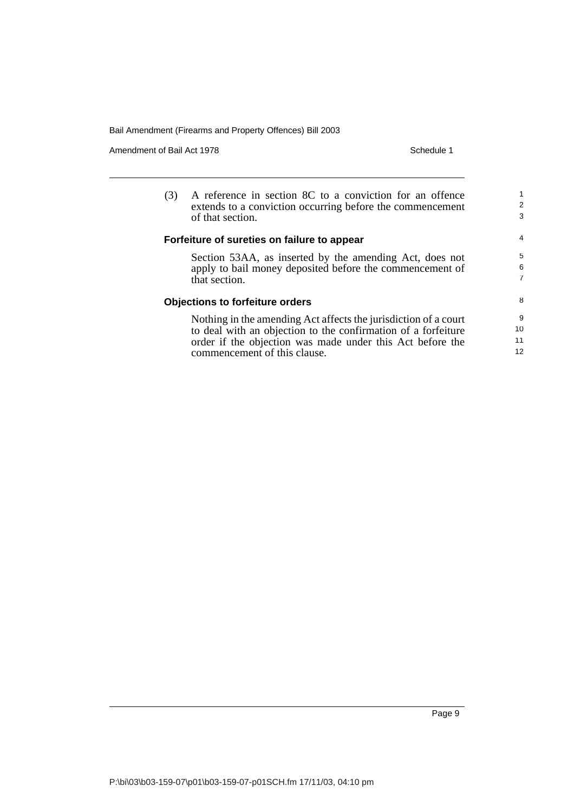commencement of this clause.

Amendment of Bail Act 1978 Schedule 1

| A reference in section 8C to a conviction for an offence<br>(3)<br>extends to a conviction occurring before the commencement<br>of that section. | 2<br>3         |
|--------------------------------------------------------------------------------------------------------------------------------------------------|----------------|
| Forfeiture of sureties on failure to appear                                                                                                      | 4              |
| Section 53AA, as inserted by the amending Act, does not                                                                                          | 5              |
| apply to bail money deposited before the commencement of                                                                                         | 6              |
| that section.                                                                                                                                    | $\overline{7}$ |
| <b>Objections to forfeiture orders</b>                                                                                                           | 8              |
| Nothing in the amending Act affects the jurisdiction of a court                                                                                  | 9              |
| to deal with an objection to the confirmation of a forfeiture                                                                                    | 10             |
| order if the objection was made under this Act before the                                                                                        | 11             |
| commencement of this clause                                                                                                                      | 12             |